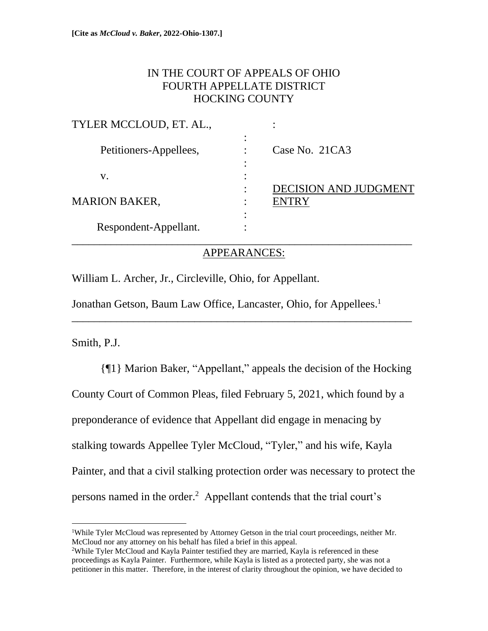# IN THE COURT OF APPEALS OF OHIO FOURTH APPELLATE DISTRICT HOCKING COUNTY

| TYLER MCCLOUD, ET. AL., |   |                              |
|-------------------------|---|------------------------------|
| Petitioners-Appellees,  | ٠ | Case No. 21CA3               |
| V.                      |   |                              |
|                         |   | <b>DECISION AND JUDGMENT</b> |
| <b>MARION BAKER,</b>    |   | ENTRY                        |
|                         |   |                              |
| Respondent-Appellant.   |   |                              |
|                         |   |                              |

## APPEARANCES:

\_\_\_\_\_\_\_\_\_\_\_\_\_\_\_\_\_\_\_\_\_\_\_\_\_\_\_\_\_\_\_\_\_\_\_\_\_\_\_\_\_\_\_\_\_\_\_\_\_\_\_\_\_\_\_\_\_\_\_\_\_

William L. Archer, Jr., Circleville, Ohio, for Appellant.

Jonathan Getson, Baum Law Office, Lancaster, Ohio, for Appellees.<sup>1</sup>

Smith, P.J.

{¶1} Marion Baker, "Appellant," appeals the decision of the Hocking County Court of Common Pleas, filed February 5, 2021, which found by a preponderance of evidence that Appellant did engage in menacing by stalking towards Appellee Tyler McCloud, "Tyler," and his wife, Kayla Painter, and that a civil stalking protection order was necessary to protect the persons named in the order.<sup>2</sup> Appellant contends that the trial court's

<sup>1</sup>While Tyler McCloud was represented by Attorney Getson in the trial court proceedings, neither Mr. McCloud nor any attorney on his behalf has filed a brief in this appeal.

<sup>&</sup>lt;sup>2</sup>While Tyler McCloud and Kayla Painter testified they are married, Kayla is referenced in these proceedings as Kayla Painter. Furthermore, while Kayla is listed as a protected party, she was not a petitioner in this matter. Therefore, in the interest of clarity throughout the opinion, we have decided to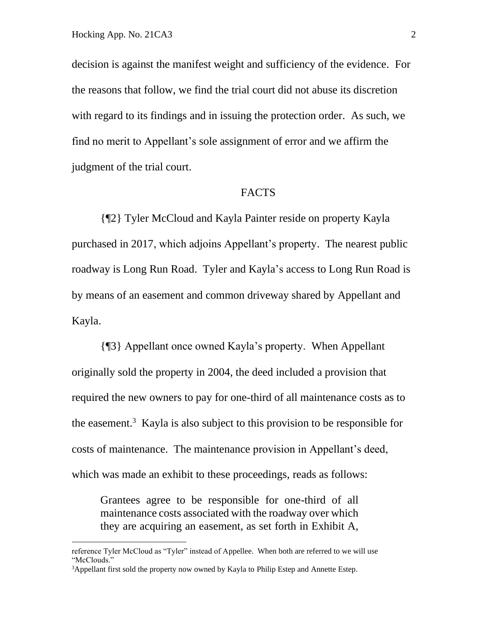decision is against the manifest weight and sufficiency of the evidence. For the reasons that follow, we find the trial court did not abuse its discretion with regard to its findings and in issuing the protection order. As such, we find no merit to Appellant's sole assignment of error and we affirm the judgment of the trial court.

#### FACTS

{¶2} Tyler McCloud and Kayla Painter reside on property Kayla purchased in 2017, which adjoins Appellant's property. The nearest public roadway is Long Run Road. Tyler and Kayla's access to Long Run Road is by means of an easement and common driveway shared by Appellant and Kayla.

{¶3} Appellant once owned Kayla's property. When Appellant originally sold the property in 2004, the deed included a provision that required the new owners to pay for one-third of all maintenance costs as to the easement.<sup>3</sup> Kayla is also subject to this provision to be responsible for costs of maintenance. The maintenance provision in Appellant's deed, which was made an exhibit to these proceedings, reads as follows:

Grantees agree to be responsible for one-third of all maintenance costs associated with the roadway over which they are acquiring an easement, as set forth in Exhibit A,

reference Tyler McCloud as "Tyler" instead of Appellee. When both are referred to we will use "McClouds."

<sup>&</sup>lt;sup>3</sup>Appellant first sold the property now owned by Kayla to Philip Estep and Annette Estep.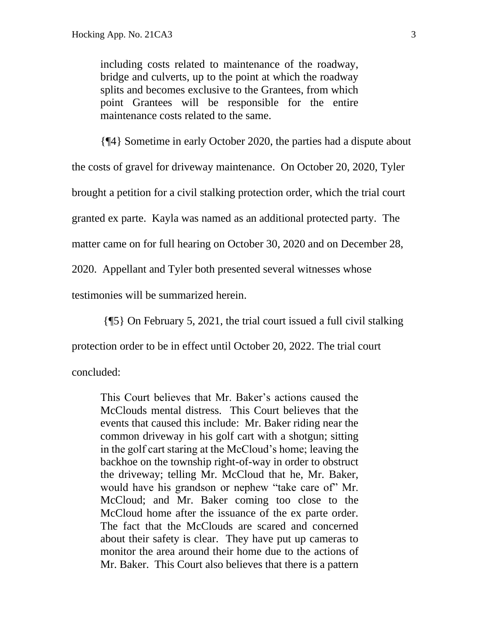including costs related to maintenance of the roadway, bridge and culverts, up to the point at which the roadway splits and becomes exclusive to the Grantees, from which point Grantees will be responsible for the entire maintenance costs related to the same.

{¶4} Sometime in early October 2020, the parties had a dispute about the costs of gravel for driveway maintenance. On October 20, 2020, Tyler brought a petition for a civil stalking protection order, which the trial court granted ex parte. Kayla was named as an additional protected party. The matter came on for full hearing on October 30, 2020 and on December 28,

2020. Appellant and Tyler both presented several witnesses whose

testimonies will be summarized herein.

{¶5} On February 5, 2021, the trial court issued a full civil stalking

protection order to be in effect until October 20, 2022. The trial court

concluded:

This Court believes that Mr. Baker's actions caused the McClouds mental distress. This Court believes that the events that caused this include: Mr. Baker riding near the common driveway in his golf cart with a shotgun; sitting in the golf cart staring at the McCloud's home; leaving the backhoe on the township right-of-way in order to obstruct the driveway; telling Mr. McCloud that he, Mr. Baker, would have his grandson or nephew "take care of" Mr. McCloud; and Mr. Baker coming too close to the McCloud home after the issuance of the ex parte order. The fact that the McClouds are scared and concerned about their safety is clear. They have put up cameras to monitor the area around their home due to the actions of Mr. Baker. This Court also believes that there is a pattern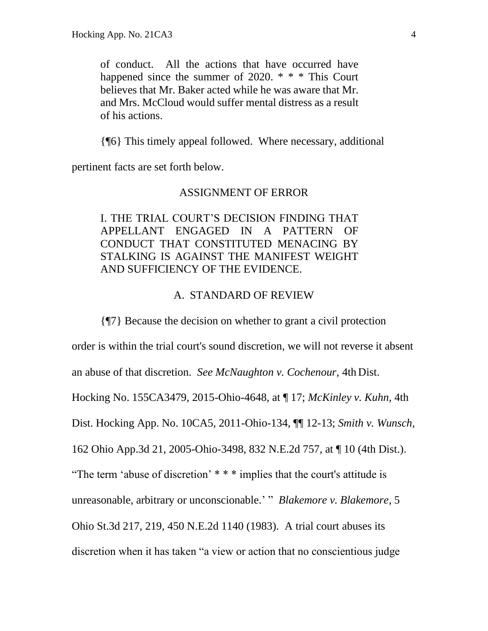of conduct. All the actions that have occurred have happened since the summer of  $2020. * * *$  This Court believes that Mr. Baker acted while he was aware that Mr. and Mrs. McCloud would suffer mental distress as a result of his actions.

{¶6} This timely appeal followed. Where necessary, additional

pertinent facts are set forth below.

#### ASSIGNMENT OF ERROR

## I. THE TRIAL COURT'S DECISION FINDING THAT APPELLANT ENGAGED IN A PATTERN OF CONDUCT THAT CONSTITUTED MENACING BY STALKING IS AGAINST THE MANIFEST WEIGHT AND SUFFICIENCY OF THE EVIDENCE.

#### A. STANDARD OF REVIEW

{¶7} Because the decision on whether to grant a civil protection

order is within the trial court's sound discretion, we will not reverse it absent an abuse of that discretion. *See McNaughton v. Cochenour,* 4th Dist. Hocking No. 155CA3479, 2015-Ohio-4648, at ¶ 17; *McKinley v. Kuhn,* 4th Dist. Hocking App. No. 10CA5, 2011-Ohio-134, ¶¶ 12-13; *Smith v. Wunsch,* 162 Ohio App.3d 21, 2005-Ohio-3498, 832 N.E.2d 757, at ¶ 10 (4th Dist.). "The term 'abuse of discretion' \* \* \* implies that the court's attitude is unreasonable, arbitrary or unconscionable.' " *Blakemore v. Blakemore*, 5 Ohio St.3d 217, 219, 450 N.E.2d 1140 (1983). A trial court abuses its discretion when it has taken "a view or action that no conscientious judge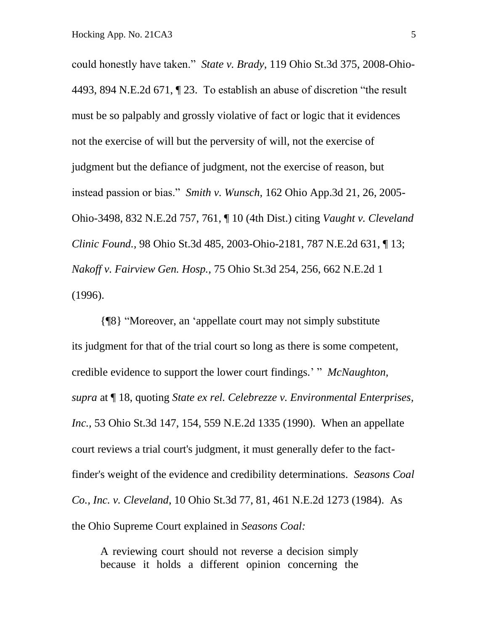could honestly have taken." *State v. Brady*, 119 Ohio St.3d 375, 2008-Ohio-4493, 894 N.E.2d 671, ¶ 23. To establish an abuse of discretion "the result must be so palpably and grossly violative of fact or logic that it evidences not the exercise of will but the perversity of will, not the exercise of judgment but the defiance of judgment, not the exercise of reason, but instead passion or bias." *Smith v. Wunsch,* 162 Ohio App.3d 21, 26, 2005- Ohio-3498, 832 N.E.2d 757, 761, ¶ 10 (4th Dist.) citing *Vaught v. Cleveland Clinic Found.,* 98 Ohio St.3d 485, 2003-Ohio-2181, 787 N.E.2d 631, ¶ 13; *Nakoff v. Fairview Gen. Hosp.,* 75 Ohio St.3d 254, 256, 662 N.E.2d 1 (1996).

{¶8} "Moreover, an 'appellate court may not simply substitute its judgment for that of the trial court so long as there is some competent, credible evidence to support the lower court findings.' " *McNaughton, supra* at ¶ 18, quoting *State ex rel. Celebrezze v. Environmental Enterprises, Inc.,* 53 Ohio St.3d 147, 154, 559 N.E.2d 1335 (1990). When an appellate court reviews a trial court's judgment, it must generally defer to the factfinder's weight of the evidence and credibility determinations. *Seasons Coal Co., Inc. v. Cleveland*, 10 Ohio St.3d 77, 81, 461 N.E.2d 1273 (1984). As the Ohio Supreme Court explained in *Seasons Coal:*

A reviewing court should not reverse a decision simply because it holds a different opinion concerning the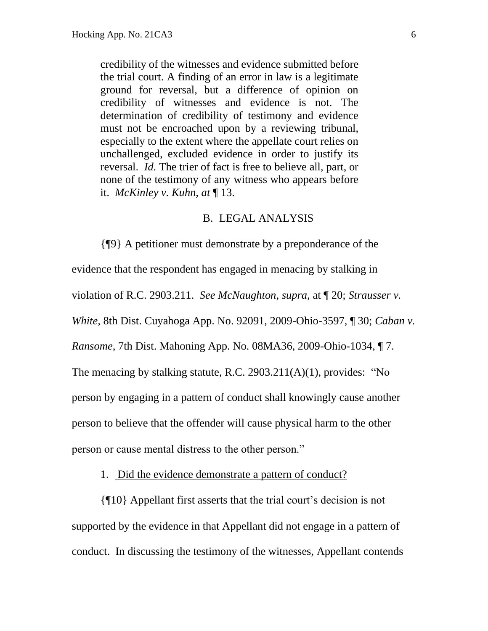credibility of the witnesses and evidence submitted before the trial court. A finding of an error in law is a legitimate ground for reversal, but a difference of opinion on credibility of witnesses and evidence is not. The determination of credibility of testimony and evidence must not be encroached upon by a reviewing tribunal, especially to the extent where the appellate court relies on unchallenged, excluded evidence in order to justify its reversal. *Id.* The trier of fact is free to believe all, part, or none of the testimony of any witness who appears before it. *McKinley v. Kuhn, at* ¶ 13.

### B. LEGAL ANALYSIS

{¶9} A petitioner must demonstrate by a preponderance of the evidence that the respondent has engaged in menacing by stalking in violation of R.C. 2903.211. *See McNaughton, supra,* at ¶ 20; *Strausser v. White,* 8th Dist. Cuyahoga App. No. 92091, 2009-Ohio-3597, ¶ 30; *Caban v. Ransome,* 7th Dist. Mahoning App. No. 08MA36, 2009-Ohio-1034, ¶ 7. The menacing by stalking statute, R.C. 2903.211(A)(1), provides: "No person by engaging in a pattern of conduct shall knowingly cause another person to believe that the offender will cause physical harm to the other person or cause mental distress to the other person."

1. Did the evidence demonstrate a pattern of conduct?

{¶10} Appellant first asserts that the trial court's decision is not supported by the evidence in that Appellant did not engage in a pattern of conduct. In discussing the testimony of the witnesses, Appellant contends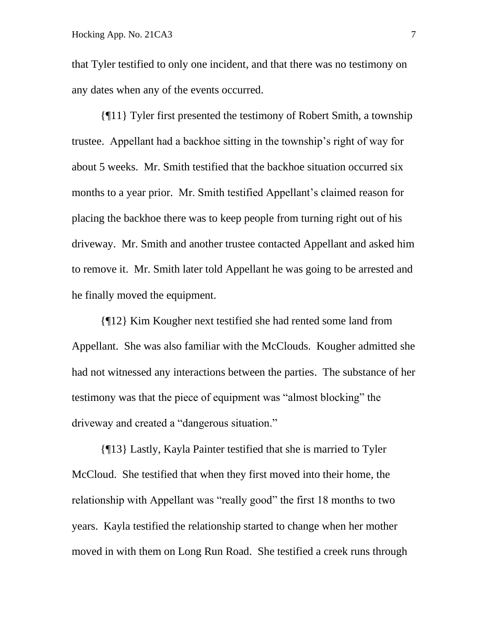that Tyler testified to only one incident, and that there was no testimony on any dates when any of the events occurred.

{¶11} Tyler first presented the testimony of Robert Smith, a township trustee. Appellant had a backhoe sitting in the township's right of way for about 5 weeks. Mr. Smith testified that the backhoe situation occurred six months to a year prior. Mr. Smith testified Appellant's claimed reason for placing the backhoe there was to keep people from turning right out of his driveway. Mr. Smith and another trustee contacted Appellant and asked him to remove it. Mr. Smith later told Appellant he was going to be arrested and he finally moved the equipment.

{¶12} Kim Kougher next testified she had rented some land from Appellant. She was also familiar with the McClouds. Kougher admitted she had not witnessed any interactions between the parties. The substance of her testimony was that the piece of equipment was "almost blocking" the driveway and created a "dangerous situation."

{¶13} Lastly, Kayla Painter testified that she is married to Tyler McCloud. She testified that when they first moved into their home, the relationship with Appellant was "really good" the first 18 months to two years. Kayla testified the relationship started to change when her mother moved in with them on Long Run Road. She testified a creek runs through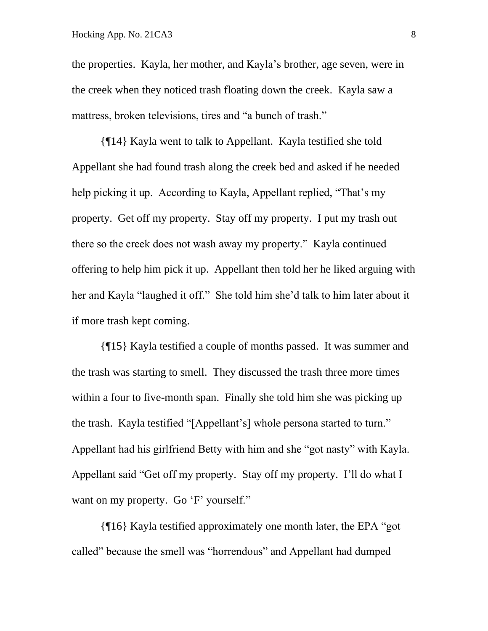the properties. Kayla, her mother, and Kayla's brother, age seven, were in the creek when they noticed trash floating down the creek. Kayla saw a mattress, broken televisions, tires and "a bunch of trash."

{¶14} Kayla went to talk to Appellant. Kayla testified she told Appellant she had found trash along the creek bed and asked if he needed help picking it up. According to Kayla, Appellant replied, "That's my property. Get off my property. Stay off my property. I put my trash out there so the creek does not wash away my property." Kayla continued offering to help him pick it up. Appellant then told her he liked arguing with her and Kayla "laughed it off." She told him she'd talk to him later about it if more trash kept coming.

{¶15} Kayla testified a couple of months passed. It was summer and the trash was starting to smell. They discussed the trash three more times within a four to five-month span. Finally she told him she was picking up the trash. Kayla testified "[Appellant's] whole persona started to turn." Appellant had his girlfriend Betty with him and she "got nasty" with Kayla. Appellant said "Get off my property. Stay off my property. I'll do what I want on my property. Go 'F' yourself."

{¶16} Kayla testified approximately one month later, the EPA "got called" because the smell was "horrendous" and Appellant had dumped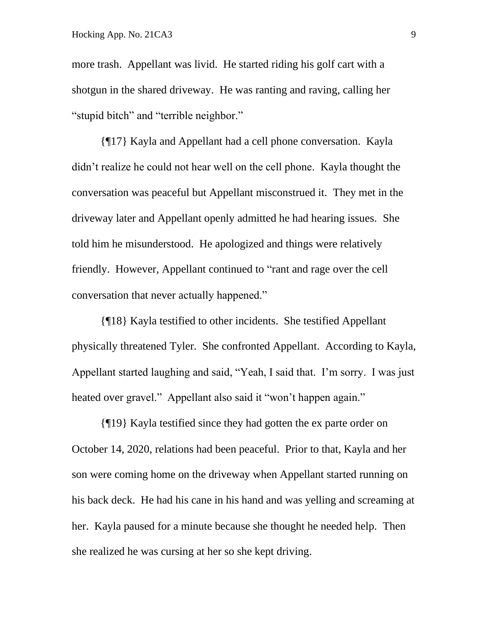more trash. Appellant was livid. He started riding his golf cart with a shotgun in the shared driveway. He was ranting and raving, calling her "stupid bitch" and "terrible neighbor."

{¶17} Kayla and Appellant had a cell phone conversation. Kayla didn't realize he could not hear well on the cell phone. Kayla thought the conversation was peaceful but Appellant misconstrued it. They met in the driveway later and Appellant openly admitted he had hearing issues. She told him he misunderstood. He apologized and things were relatively friendly. However, Appellant continued to "rant and rage over the cell conversation that never actually happened."

{¶18} Kayla testified to other incidents. She testified Appellant physically threatened Tyler. She confronted Appellant. According to Kayla, Appellant started laughing and said, "Yeah, I said that. I'm sorry. I was just heated over gravel." Appellant also said it "won't happen again."

{¶19} Kayla testified since they had gotten the ex parte order on October 14, 2020, relations had been peaceful. Prior to that, Kayla and her son were coming home on the driveway when Appellant started running on his back deck. He had his cane in his hand and was yelling and screaming at her. Kayla paused for a minute because she thought he needed help. Then she realized he was cursing at her so she kept driving.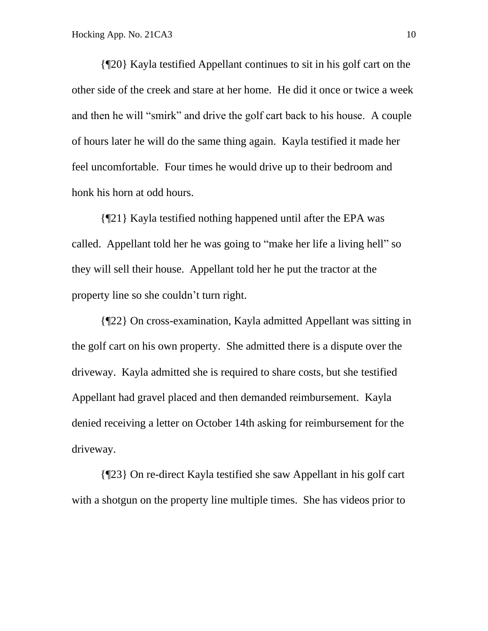{¶20} Kayla testified Appellant continues to sit in his golf cart on the other side of the creek and stare at her home. He did it once or twice a week and then he will "smirk" and drive the golf cart back to his house. A couple of hours later he will do the same thing again. Kayla testified it made her feel uncomfortable. Four times he would drive up to their bedroom and honk his horn at odd hours.

{¶21} Kayla testified nothing happened until after the EPA was called. Appellant told her he was going to "make her life a living hell" so they will sell their house. Appellant told her he put the tractor at the property line so she couldn't turn right.

{¶22} On cross-examination, Kayla admitted Appellant was sitting in the golf cart on his own property. She admitted there is a dispute over the driveway. Kayla admitted she is required to share costs, but she testified Appellant had gravel placed and then demanded reimbursement. Kayla denied receiving a letter on October 14th asking for reimbursement for the driveway.

{¶23} On re-direct Kayla testified she saw Appellant in his golf cart with a shotgun on the property line multiple times. She has videos prior to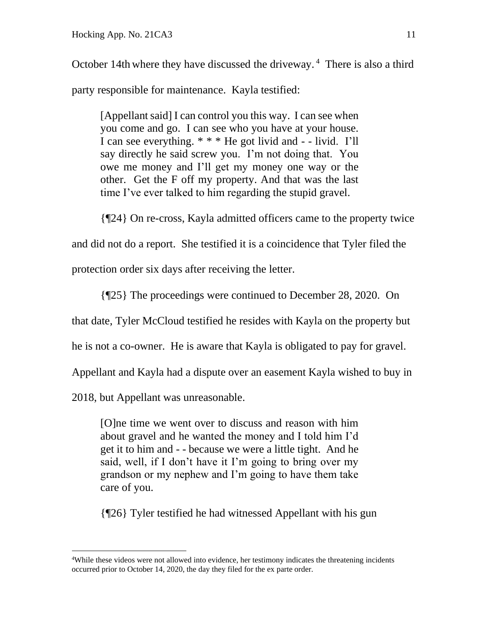October 14th where they have discussed the driveway.<sup>4</sup> There is also a third party responsible for maintenance. Kayla testified:

[Appellant said] I can control you this way. I can see when you come and go. I can see who you have at your house. I can see everything. \* \* \* He got livid and - - livid. I'll say directly he said screw you. I'm not doing that. You owe me money and I'll get my money one way or the other. Get the F off my property. And that was the last time I've ever talked to him regarding the stupid gravel.

{¶24} On re-cross, Kayla admitted officers came to the property twice

and did not do a report. She testified it is a coincidence that Tyler filed the

protection order six days after receiving the letter.

{¶25} The proceedings were continued to December 28, 2020. On

that date, Tyler McCloud testified he resides with Kayla on the property but

he is not a co-owner. He is aware that Kayla is obligated to pay for gravel.

Appellant and Kayla had a dispute over an easement Kayla wished to buy in

2018, but Appellant was unreasonable.

[O]ne time we went over to discuss and reason with him about gravel and he wanted the money and I told him I'd get it to him and - - because we were a little tight. And he said, well, if I don't have it I'm going to bring over my grandson or my nephew and I'm going to have them take care of you.

{¶26} Tyler testified he had witnessed Appellant with his gun

<sup>4</sup>While these videos were not allowed into evidence, her testimony indicates the threatening incidents occurred prior to October 14, 2020, the day they filed for the ex parte order.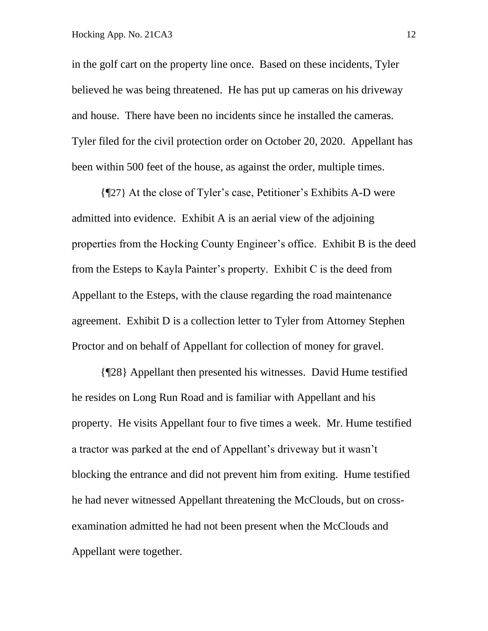in the golf cart on the property line once. Based on these incidents, Tyler believed he was being threatened. He has put up cameras on his driveway and house. There have been no incidents since he installed the cameras. Tyler filed for the civil protection order on October 20, 2020. Appellant has been within 500 feet of the house, as against the order, multiple times.

{¶27} At the close of Tyler's case, Petitioner's Exhibits A-D were admitted into evidence. Exhibit A is an aerial view of the adjoining properties from the Hocking County Engineer's office. Exhibit B is the deed from the Esteps to Kayla Painter's property. Exhibit C is the deed from Appellant to the Esteps, with the clause regarding the road maintenance agreement. Exhibit D is a collection letter to Tyler from Attorney Stephen Proctor and on behalf of Appellant for collection of money for gravel.

{¶28} Appellant then presented his witnesses. David Hume testified he resides on Long Run Road and is familiar with Appellant and his property. He visits Appellant four to five times a week. Mr. Hume testified a tractor was parked at the end of Appellant's driveway but it wasn't blocking the entrance and did not prevent him from exiting. Hume testified he had never witnessed Appellant threatening the McClouds, but on crossexamination admitted he had not been present when the McClouds and Appellant were together.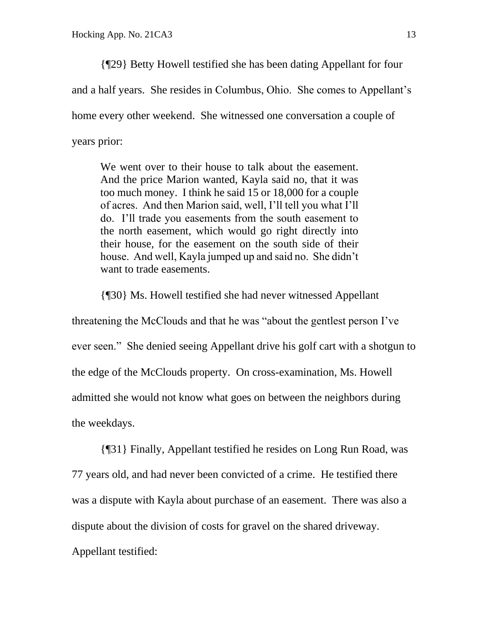{¶29} Betty Howell testified she has been dating Appellant for four and a half years. She resides in Columbus, Ohio. She comes to Appellant's home every other weekend. She witnessed one conversation a couple of years prior:

We went over to their house to talk about the easement. And the price Marion wanted, Kayla said no, that it was too much money. I think he said 15 or 18,000 for a couple of acres. And then Marion said, well, I'll tell you what I'll do. I'll trade you easements from the south easement to the north easement, which would go right directly into their house, for the easement on the south side of their house. And well, Kayla jumped up and said no. She didn't want to trade easements.

{¶30} Ms. Howell testified she had never witnessed Appellant

threatening the McClouds and that he was "about the gentlest person I've ever seen." She denied seeing Appellant drive his golf cart with a shotgun to the edge of the McClouds property. On cross-examination, Ms. Howell admitted she would not know what goes on between the neighbors during the weekdays.

{¶31} Finally, Appellant testified he resides on Long Run Road, was 77 years old, and had never been convicted of a crime. He testified there was a dispute with Kayla about purchase of an easement. There was also a dispute about the division of costs for gravel on the shared driveway. Appellant testified: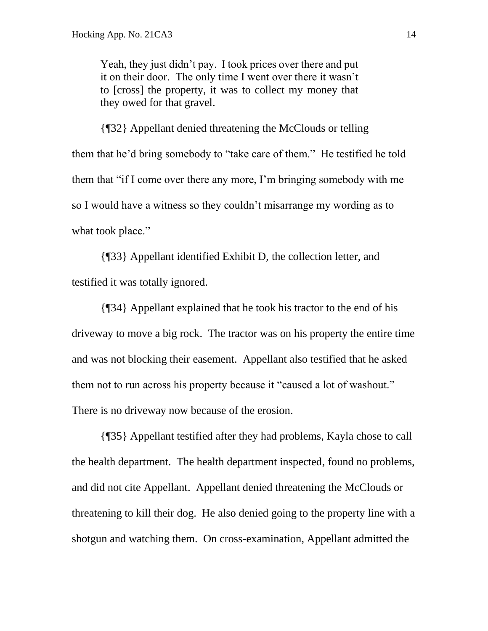Yeah, they just didn't pay. I took prices over there and put it on their door. The only time I went over there it wasn't to [cross] the property, it was to collect my money that they owed for that gravel.

{¶32} Appellant denied threatening the McClouds or telling them that he'd bring somebody to "take care of them." He testified he told them that "if I come over there any more, I'm bringing somebody with me so I would have a witness so they couldn't misarrange my wording as to what took place."

{¶33} Appellant identified Exhibit D, the collection letter, and testified it was totally ignored.

{¶34} Appellant explained that he took his tractor to the end of his driveway to move a big rock. The tractor was on his property the entire time and was not blocking their easement. Appellant also testified that he asked them not to run across his property because it "caused a lot of washout." There is no driveway now because of the erosion.

{¶35} Appellant testified after they had problems, Kayla chose to call the health department. The health department inspected, found no problems, and did not cite Appellant. Appellant denied threatening the McClouds or threatening to kill their dog. He also denied going to the property line with a shotgun and watching them. On cross-examination, Appellant admitted the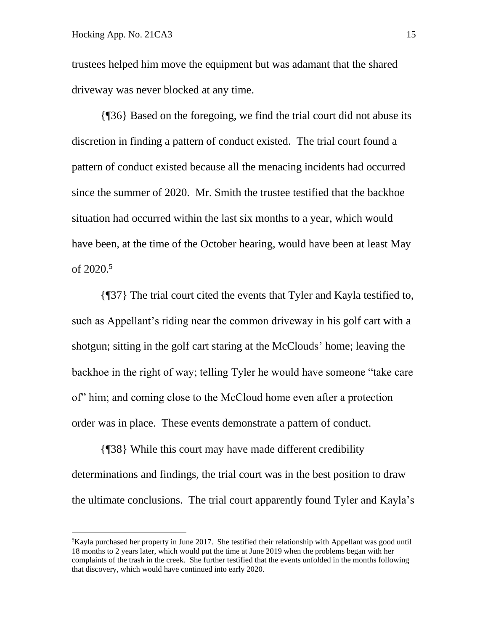trustees helped him move the equipment but was adamant that the shared driveway was never blocked at any time.

{¶36} Based on the foregoing, we find the trial court did not abuse its discretion in finding a pattern of conduct existed. The trial court found a pattern of conduct existed because all the menacing incidents had occurred since the summer of 2020. Mr. Smith the trustee testified that the backhoe situation had occurred within the last six months to a year, which would have been, at the time of the October hearing, would have been at least May of 2020.<sup>5</sup>

{¶37} The trial court cited the events that Tyler and Kayla testified to, such as Appellant's riding near the common driveway in his golf cart with a shotgun; sitting in the golf cart staring at the McClouds' home; leaving the backhoe in the right of way; telling Tyler he would have someone "take care of" him; and coming close to the McCloud home even after a protection order was in place. These events demonstrate a pattern of conduct.

{¶38} While this court may have made different credibility determinations and findings, the trial court was in the best position to draw the ultimate conclusions. The trial court apparently found Tyler and Kayla's

 ${}^{5}$ Kayla purchased her property in June 2017. She testified their relationship with Appellant was good until 18 months to 2 years later, which would put the time at June 2019 when the problems began with her complaints of the trash in the creek. She further testified that the events unfolded in the months following that discovery, which would have continued into early 2020.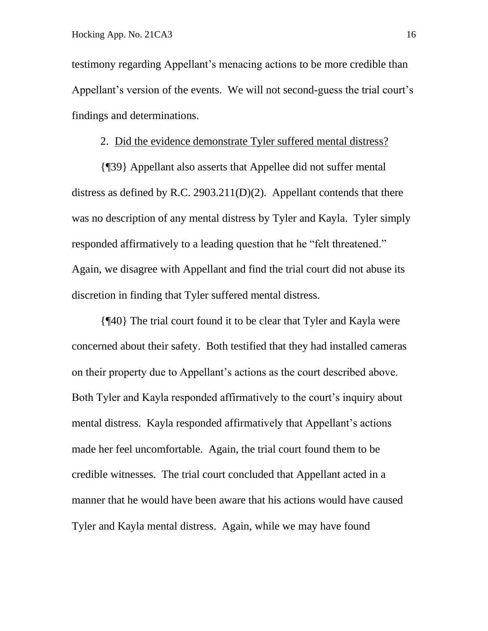testimony regarding Appellant's menacing actions to be more credible than Appellant's version of the events. We will not second-guess the trial court's findings and determinations.

### 2. Did the evidence demonstrate Tyler suffered mental distress?

{¶39} Appellant also asserts that Appellee did not suffer mental distress as defined by R.C. 2903.211(D)(2). Appellant contends that there was no description of any mental distress by Tyler and Kayla. Tyler simply responded affirmatively to a leading question that he "felt threatened." Again, we disagree with Appellant and find the trial court did not abuse its discretion in finding that Tyler suffered mental distress.

{¶40} The trial court found it to be clear that Tyler and Kayla were concerned about their safety. Both testified that they had installed cameras on their property due to Appellant's actions as the court described above. Both Tyler and Kayla responded affirmatively to the court's inquiry about mental distress. Kayla responded affirmatively that Appellant's actions made her feel uncomfortable. Again, the trial court found them to be credible witnesses. The trial court concluded that Appellant acted in a manner that he would have been aware that his actions would have caused Tyler and Kayla mental distress. Again, while we may have found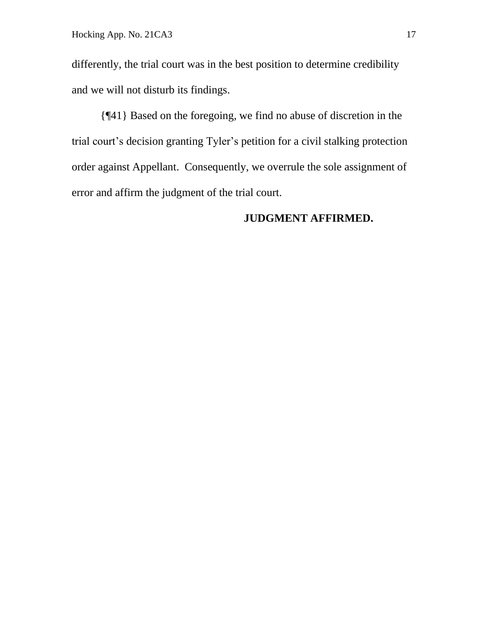differently, the trial court was in the best position to determine credibility and we will not disturb its findings.

{¶41} Based on the foregoing, we find no abuse of discretion in the trial court's decision granting Tyler's petition for a civil stalking protection order against Appellant. Consequently, we overrule the sole assignment of error and affirm the judgment of the trial court.

## **JUDGMENT AFFIRMED.**